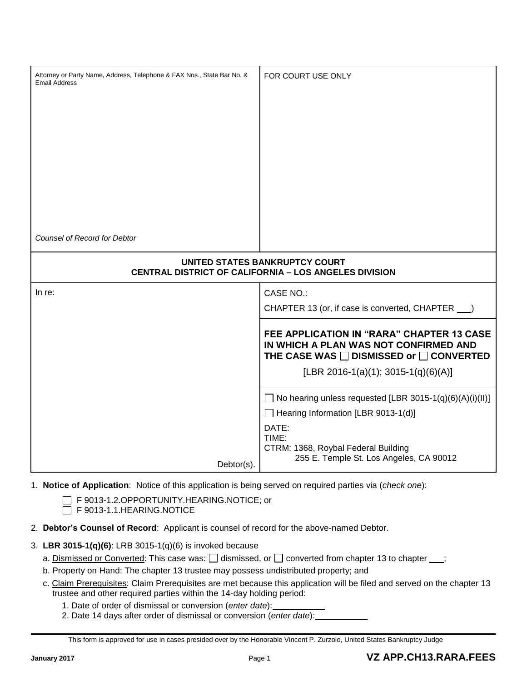| Attorney or Party Name, Address, Telephone & FAX Nos., State Bar No. &<br><b>Email Address</b> | FOR COURT USE ONLY                                                                                                                                                                                                                             |  |  |  |
|------------------------------------------------------------------------------------------------|------------------------------------------------------------------------------------------------------------------------------------------------------------------------------------------------------------------------------------------------|--|--|--|
| <b>Counsel of Record for Debtor</b>                                                            |                                                                                                                                                                                                                                                |  |  |  |
| UNITED STATES BANKRUPTCY COURT<br><b>CENTRAL DISTRICT OF CALIFORNIA - LOS ANGELES DIVISION</b> |                                                                                                                                                                                                                                                |  |  |  |
| In re:                                                                                         | <b>CASE NO.:</b><br>CHAPTER 13 (or, if case is converted, CHAPTER ___)<br>FEE APPLICATION IN "RARA" CHAPTER 13 CASE<br>IN WHICH A PLAN WAS NOT CONFIRMED AND<br>THE CASE WAS □ DISMISSED or □ CONVERTED<br>[LBR 2016-1(a)(1); 3015-1(q)(6)(A)] |  |  |  |
| Debtor(s).                                                                                     | $\Box$ No hearing unless requested [LBR 3015-1(q)(6)(A)(i)(II)]<br>Hearing Information [LBR 9013-1(d)]<br>DATE:<br>TIME:<br>CTRM: 1368, Roybal Federal Building<br>255 E. Temple St. Los Angeles, CA 90012                                     |  |  |  |

- 1. **Notice of Application**: Notice of this application is being served on required parties via (*check one*):
	- F 9013-1.2.OPPORTUNITY.HEARING.NOTICE; or

F 9013-1.1.HEARING.NOTICE

- 2. **Debtor's Counsel of Record**: Applicant is counsel of record for the above-named Debtor.
- 3. **LBR 3015-1(q)(6)**: LRB 3015-1(q)(6) is invoked because
	- a. Dismissed or Converted: This case was:  $\Box$  dismissed, or  $\Box$  converted from chapter 13 to chapter ;
	- b. Property on Hand: The chapter 13 trustee may possess undistributed property; and
	- c. Claim Prerequisites: Claim Prerequisites are met because this application will be filed and served on the chapter 13 trustee and other required parties within the 14-day holding period:
		- 1. Date of order of dismissal or conversion (*enter date*):
		- 2. Date 14 days after order of dismissal or conversion (*enter date*):

This form is approved for use in cases presided over by the Honorable Vincent P. Zurzolo, United States Bankruptcy Judge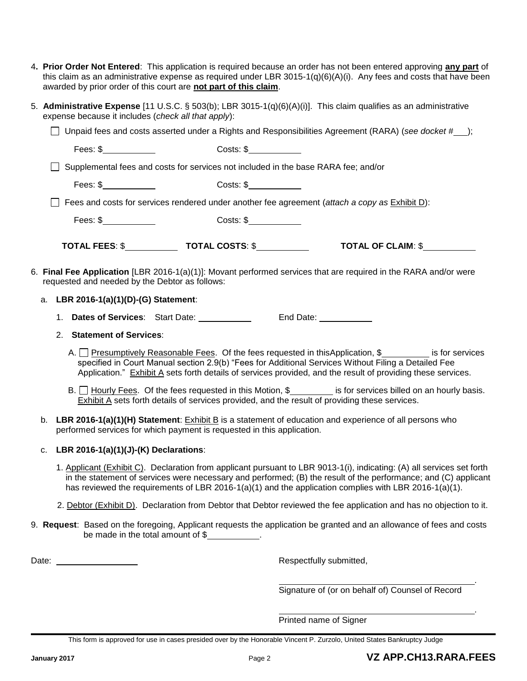- 4**. Prior Order Not Entered**: This application is required because an order has not been entered approving **any part** of this claim as an administrative expense as required under LBR 3015-1(q)(6)(A)(i). Any fees and costs that have been awarded by prior order of this court are **not part of this claim**.
- 5. **Administrative Expense** [11 U.S.C. § 503(b); LBR 3015-1(q)(6)(A)(i)]. This claim qualifies as an administrative expense because it includes (*check all that apply*):

|                                                                                                                                                                                                                                                                                                                |                                                                                                                                                                                                                                                                                                                       |                                                                                    | Unpaid fees and costs asserted under a Rights and Responsibilities Agreement (RARA) (see docket # );                                                                                                                                                                                         |
|----------------------------------------------------------------------------------------------------------------------------------------------------------------------------------------------------------------------------------------------------------------------------------------------------------------|-----------------------------------------------------------------------------------------------------------------------------------------------------------------------------------------------------------------------------------------------------------------------------------------------------------------------|------------------------------------------------------------------------------------|----------------------------------------------------------------------------------------------------------------------------------------------------------------------------------------------------------------------------------------------------------------------------------------------|
|                                                                                                                                                                                                                                                                                                                | Fees: $\frac{1}{2}$ [100]                                                                                                                                                                                                                                                                                             | Costs: \$                                                                          |                                                                                                                                                                                                                                                                                              |
|                                                                                                                                                                                                                                                                                                                |                                                                                                                                                                                                                                                                                                                       | Supplemental fees and costs for services not included in the base RARA fee; and/or |                                                                                                                                                                                                                                                                                              |
|                                                                                                                                                                                                                                                                                                                | Fees: $\frac{1}{2}$ $\frac{1}{2}$ $\frac{1}{2}$ $\frac{1}{2}$ $\frac{1}{2}$ $\frac{1}{2}$ $\frac{1}{2}$ $\frac{1}{2}$ $\frac{1}{2}$ $\frac{1}{2}$ $\frac{1}{2}$ $\frac{1}{2}$ $\frac{1}{2}$ $\frac{1}{2}$ $\frac{1}{2}$ $\frac{1}{2}$ $\frac{1}{2}$ $\frac{1}{2}$ $\frac{1}{2}$ $\frac{1}{2}$ $\frac{1}{2}$ $\frac{1$ | Costs: \$                                                                          |                                                                                                                                                                                                                                                                                              |
|                                                                                                                                                                                                                                                                                                                |                                                                                                                                                                                                                                                                                                                       |                                                                                    | Fees and costs for services rendered under another fee agreement (attach a copy as Exhibit D):                                                                                                                                                                                               |
|                                                                                                                                                                                                                                                                                                                | Fees: $\frac{1}{2}$ Fees: $\frac{1}{2}$ Fees: $\frac{1}{2}$                                                                                                                                                                                                                                                           | Costs: \$                                                                          |                                                                                                                                                                                                                                                                                              |
|                                                                                                                                                                                                                                                                                                                |                                                                                                                                                                                                                                                                                                                       |                                                                                    | TOTAL OF CLAIM: \$                                                                                                                                                                                                                                                                           |
|                                                                                                                                                                                                                                                                                                                | requested and needed by the Debtor as follows:                                                                                                                                                                                                                                                                        |                                                                                    | 6. Final Fee Application [LBR 2016-1(a)(1)]: Movant performed services that are required in the RARA and/or were                                                                                                                                                                             |
|                                                                                                                                                                                                                                                                                                                | a. LBR 2016-1(a)(1)(D)-(G) Statement:                                                                                                                                                                                                                                                                                 |                                                                                    |                                                                                                                                                                                                                                                                                              |
|                                                                                                                                                                                                                                                                                                                |                                                                                                                                                                                                                                                                                                                       | 1. Dates of Services: Start Date: ____________ End Date: __________                |                                                                                                                                                                                                                                                                                              |
|                                                                                                                                                                                                                                                                                                                | <b>Statement of Services:</b><br>2.                                                                                                                                                                                                                                                                                   |                                                                                    |                                                                                                                                                                                                                                                                                              |
| A. <u>Presumptively Reasonable Fees</u> . Of the fees requested in thisApplication, \$<br>specified in Court Manual section 2.9(b) "Fees for Additional Services Without Filing a Detailed Fee<br>Application." Exhibit A sets forth details of services provided, and the result of providing these services. |                                                                                                                                                                                                                                                                                                                       |                                                                                    |                                                                                                                                                                                                                                                                                              |
|                                                                                                                                                                                                                                                                                                                |                                                                                                                                                                                                                                                                                                                       |                                                                                    | B. $\Box$ Hourly Fees. Of the fees requested in this Motion, \$<br>is for services billed on an hourly basis.<br>Exhibit A sets forth details of services provided, and the result of providing these services.                                                                              |
|                                                                                                                                                                                                                                                                                                                | b. LBR 2016-1(a)(1)(H) Statement: Exhibit B is a statement of education and experience of all persons who<br>performed services for which payment is requested in this application.                                                                                                                                   |                                                                                    |                                                                                                                                                                                                                                                                                              |
|                                                                                                                                                                                                                                                                                                                | c. LBR 2016-1(a)(1)(J)-(K) Declarations:                                                                                                                                                                                                                                                                              |                                                                                    |                                                                                                                                                                                                                                                                                              |
|                                                                                                                                                                                                                                                                                                                |                                                                                                                                                                                                                                                                                                                       |                                                                                    | 1. Applicant (Exhibit C). Declaration from applicant pursuant to LBR 9013-1(i), indicating: (A) all services set forth<br>$\mathcal{L}^{\mathcal{L}}$ . The set of the set of the set of the set of the set of the set of the set of the set of $\mathcal{L}(\bigcap_{i=1}^n \mathcal{L}_i)$ |

- in the statement of services were necessary and performed; (B) the result of the performance; and (C) applicant has reviewed the requirements of LBR 2016-1(a)(1) and the application complies with LBR 2016-1(a)(1).
- 2. Debtor (Exhibit D). Declaration from Debtor that Debtor reviewed the fee application and has no objection to it.
- 9. **Request**: Based on the foregoing, Applicant requests the application be granted and an allowance of fees and costs be made in the total amount of \$

Date: <u>New York: Respectfully submitted,</u>

Signature of (or on behalf of) Counsel of Record

*.*

*.*

Printed name of Signer

This form is approved for use in cases presided over by the Honorable Vincent P. Zurzolo, United States Bankruptcy Judge